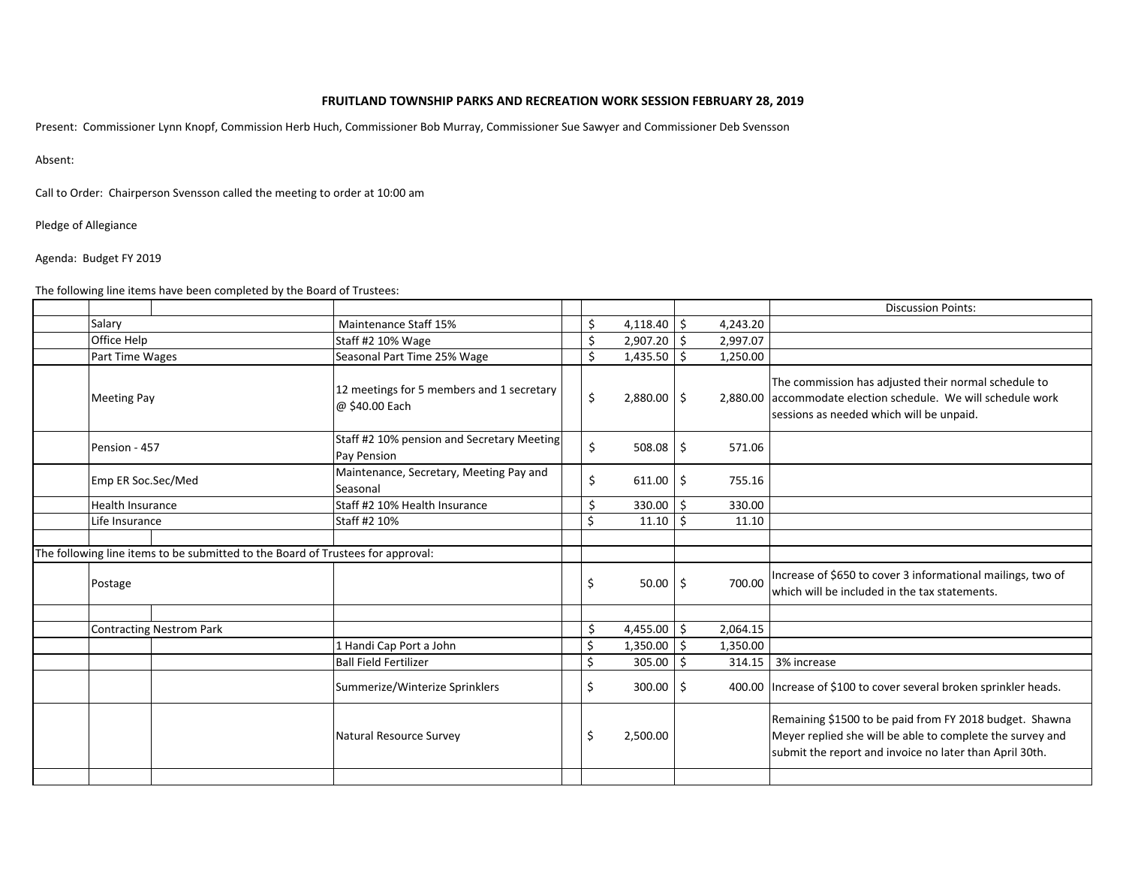## FRUITLAND TOWNSHIP PARKS AND RECREATION WORK SESSION FEBRUARY 28, 2019

Present: Commissioner Lynn Knopf, Commission Herb Huch, Commissioner Bob Murray, Commissioner Sue Sawyer and Commissioner Deb Svensson

Absent:

Call to Order: Chairperson Svensson called the meeting to order at 10:00 am

Pledge of Allegiance

Agenda: Budget FY 2019

The following line items have been completed by the Board of Trustees:

|  |                                                                                                         |                                 |                                                                  |     |    |             |              |          | <b>Discussion Points:</b>                                                                                                                                                       |
|--|---------------------------------------------------------------------------------------------------------|---------------------------------|------------------------------------------------------------------|-----|----|-------------|--------------|----------|---------------------------------------------------------------------------------------------------------------------------------------------------------------------------------|
|  | Salary                                                                                                  |                                 | Maintenance Staff 15%                                            |     | \$ | 4,118.40    | Ŝ.           | 4,243.20 |                                                                                                                                                                                 |
|  | Office Help                                                                                             |                                 | Staff #2 10% Wage                                                |     | \$ | 2,907.20    | Ŝ.           | 2,997.07 |                                                                                                                                                                                 |
|  | Part Time Wages<br><b>Meeting Pay</b><br>Pension - 457<br>Emp ER Soc.Sec/Med<br><b>Health Insurance</b> |                                 | Seasonal Part Time 25% Wage                                      |     | \$ | 1,435.50    | Ŝ.           | 1,250.00 |                                                                                                                                                                                 |
|  |                                                                                                         |                                 | 12 meetings for 5 members and 1 secretary<br>@ \$40.00 Each      |     | \$ | 2,880.00 \$ |              |          | The commission has adjusted their normal schedule to<br>2,880.00 accommodate election schedule. We will schedule work<br>sessions as needed which will be unpaid.               |
|  |                                                                                                         |                                 | Staff #2 10% pension and Secretary Meeting<br><b>Pay Pension</b> |     | \$ | $508.08$ \$ |              | 571.06   |                                                                                                                                                                                 |
|  |                                                                                                         |                                 | Maintenance, Secretary, Meeting Pay and<br>Seasonal              |     | \$ | $611.00$ \$ |              | 755.16   |                                                                                                                                                                                 |
|  |                                                                                                         |                                 | Staff #2 10% Health Insurance                                    |     | \$ | 330.00 \$   |              | 330.00   |                                                                                                                                                                                 |
|  | Life Insurance                                                                                          |                                 | Staff #2 10%                                                     |     | Ś. | 11.10       | Ŝ.           | 11.10    |                                                                                                                                                                                 |
|  |                                                                                                         |                                 |                                                                  |     |    |             |              |          |                                                                                                                                                                                 |
|  | The following line items to be submitted to the Board of Trustees for approval:                         |                                 |                                                                  |     |    |             |              |          |                                                                                                                                                                                 |
|  | Postage                                                                                                 |                                 |                                                                  | \$. |    | $50.00$ \$  |              | 700.00   | Increase of \$650 to cover 3 informational mailings, two of<br>which will be included in the tax statements.                                                                    |
|  |                                                                                                         |                                 |                                                                  |     |    |             |              |          |                                                                                                                                                                                 |
|  |                                                                                                         | <b>Contracting Nestrom Park</b> |                                                                  |     | \$ | 4,455.00 \$ |              | 2,064.15 |                                                                                                                                                                                 |
|  |                                                                                                         |                                 | 1 Handi Cap Port a John                                          | \$  |    | 1,350.00    | $\mathsf{S}$ | 1,350.00 |                                                                                                                                                                                 |
|  |                                                                                                         |                                 | <b>Ball Field Fertilizer</b>                                     | \$  |    | 305.00      | -\$          |          | 314.15 3% increase                                                                                                                                                              |
|  |                                                                                                         |                                 | Summerize/Winterize Sprinklers                                   | \$  |    | $300.00$ \$ |              |          | 400.00 Increase of \$100 to cover several broken sprinkler heads.                                                                                                               |
|  |                                                                                                         |                                 | Natural Resource Survey                                          | Ś   |    | 2,500.00    |              |          | Remaining \$1500 to be paid from FY 2018 budget. Shawna<br>Meyer replied she will be able to complete the survey and<br>submit the report and invoice no later than April 30th. |
|  |                                                                                                         |                                 |                                                                  |     |    |             |              |          |                                                                                                                                                                                 |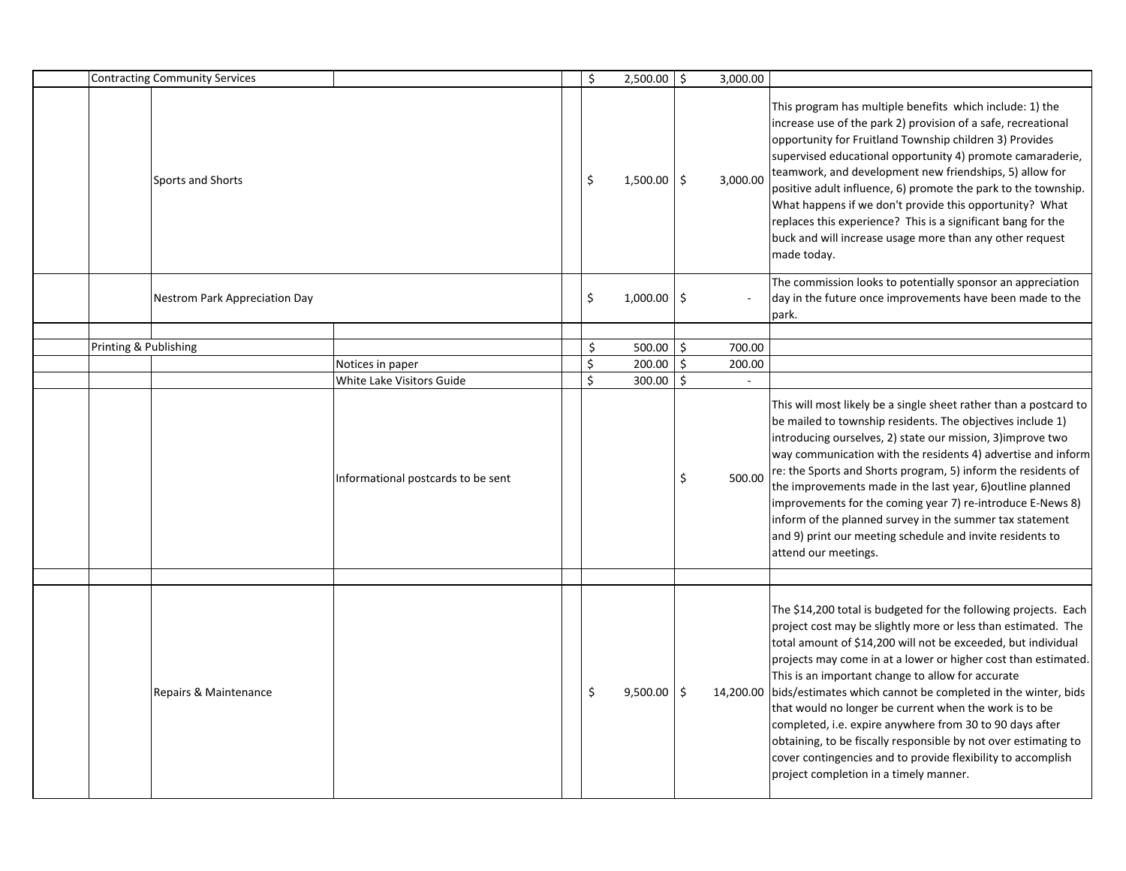| <b>Contracting Community Services</b> |                               |                                               | \$       | $2,500.00$ \$    |                           | 3,000.00         |                                                                                                                                                                                                                                                                                                                                                                                                                                                                                                                                                                                                                                                                                                       |
|---------------------------------------|-------------------------------|-----------------------------------------------|----------|------------------|---------------------------|------------------|-------------------------------------------------------------------------------------------------------------------------------------------------------------------------------------------------------------------------------------------------------------------------------------------------------------------------------------------------------------------------------------------------------------------------------------------------------------------------------------------------------------------------------------------------------------------------------------------------------------------------------------------------------------------------------------------------------|
|                                       | Sports and Shorts             |                                               | \$       | $1,500.00$ \$    |                           | 3,000.00         | This program has multiple benefits which include: 1) the<br>increase use of the park 2) provision of a safe, recreational<br>opportunity for Fruitland Township children 3) Provides<br>supervised educational opportunity 4) promote camaraderie,<br>teamwork, and development new friendships, 5) allow for<br>positive adult influence, 6) promote the park to the township.<br>What happens if we don't provide this opportunity? What<br>replaces this experience? This is a significant bang for the<br>buck and will increase usage more than any other request<br>made today.                                                                                                                 |
|                                       | Nestrom Park Appreciation Day |                                               | \$       | $1,000.00$ \$    |                           |                  | The commission looks to potentially sponsor an appreciation<br>day in the future once improvements have been made to the<br>park.                                                                                                                                                                                                                                                                                                                                                                                                                                                                                                                                                                     |
|                                       |                               |                                               |          |                  |                           |                  |                                                                                                                                                                                                                                                                                                                                                                                                                                                                                                                                                                                                                                                                                                       |
| Printing & Publishing                 |                               |                                               | \$<br>\$ | 500.00<br>200.00 | $\ddot{\mathsf{S}}$<br>\$ | 700.00           |                                                                                                                                                                                                                                                                                                                                                                                                                                                                                                                                                                                                                                                                                                       |
|                                       |                               | Notices in paper<br>White Lake Visitors Guide | Ś.       | $300.00$ \$      |                           | 200.00<br>$\sim$ |                                                                                                                                                                                                                                                                                                                                                                                                                                                                                                                                                                                                                                                                                                       |
|                                       |                               |                                               |          |                  |                           |                  |                                                                                                                                                                                                                                                                                                                                                                                                                                                                                                                                                                                                                                                                                                       |
|                                       |                               | Informational postcards to be sent            |          |                  | \$                        | 500.00           | This will most likely be a single sheet rather than a postcard to<br>be mailed to township residents. The objectives include 1)<br>introducing ourselves, 2) state our mission, 3) improve two<br>way communication with the residents 4) advertise and inform<br>re: the Sports and Shorts program, 5) inform the residents of<br>the improvements made in the last year, 6) outline planned<br>improvements for the coming year 7) re-introduce E-News 8)<br>inform of the planned survey in the summer tax statement<br>and 9) print our meeting schedule and invite residents to<br>attend our meetings.                                                                                          |
|                                       |                               |                                               |          |                  |                           |                  |                                                                                                                                                                                                                                                                                                                                                                                                                                                                                                                                                                                                                                                                                                       |
|                                       | Repairs & Maintenance         |                                               | \$       | 9,500.00         | \$                        |                  | The \$14,200 total is budgeted for the following projects. Each<br>project cost may be slightly more or less than estimated. The<br>total amount of \$14,200 will not be exceeded, but individual<br>projects may come in at a lower or higher cost than estimated.<br>This is an important change to allow for accurate<br>14,200.00 bids/estimates which cannot be completed in the winter, bids<br>that would no longer be current when the work is to be<br>completed, i.e. expire anywhere from 30 to 90 days after<br>obtaining, to be fiscally responsible by not over estimating to<br>cover contingencies and to provide flexibility to accomplish<br>project completion in a timely manner. |